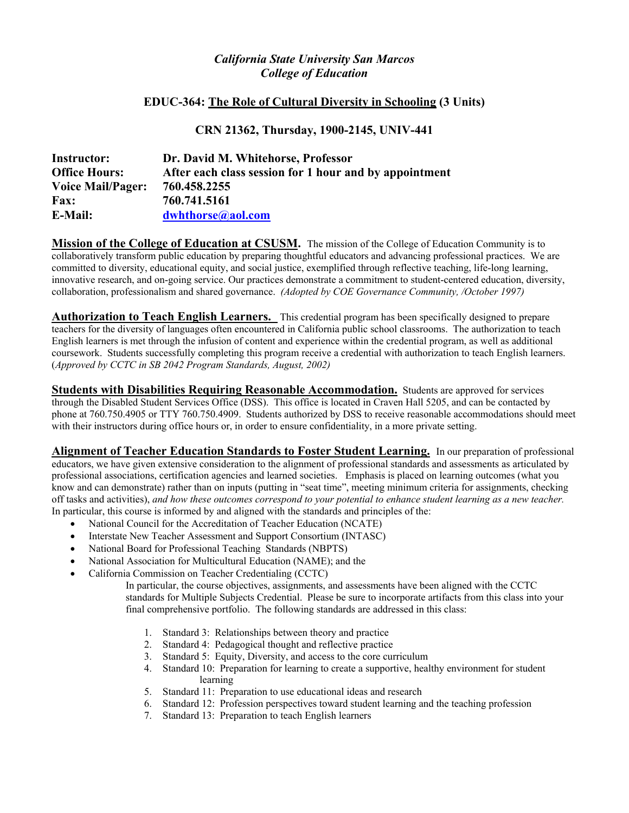# *California State University San Marcos College of Education*

## **EDUC-364: The Role of Cultural Diversity in Schooling (3 Units)**

# **CRN 21362, Thursday, 1900-2145, UNIV-441**

| <b>Instructor:</b>       | Dr. David M. Whitehorse, Professor                     |
|--------------------------|--------------------------------------------------------|
| <b>Office Hours:</b>     | After each class session for 1 hour and by appointment |
| <b>Voice Mail/Pager:</b> | 760.458.2255                                           |
| <b>Fax:</b>              | 760.741.5161                                           |
| <b>E-Mail:</b>           | dwhthorse@aol.com                                      |

**Mission of the College of Education at CSUSM.** The mission of the College of Education Community is to collaboratively transform public education by preparing thoughtful educators and advancing professional practices. We are committed to diversity, educational equity, and social justice, exemplified through reflective teaching, life-long learning, innovative research, and on-going service. Our practices demonstrate a commitment to student-centered education, diversity, collaboration, professionalism and shared governance. *(Adopted by COE Governance Community, /October 1997)* 

**Authorization to Teach English Learners.** This credential program has been specifically designed to prepare teachers for the diversity of languages often encountered in California public school classrooms. The authorization to teach English learners is met through the infusion of content and experience within the credential program, as well as additional coursework. Students successfully completing this program receive a credential with authorization to teach English learners. (*Approved by CCTC in SB 2042 Program Standards, August, 2002)* 

**Students with Disabilities Requiring Reasonable Accommodation.** Students are approved for services through the Disabled Student Services Office (DSS). This office is located in Craven Hall 5205, and can be contacted by phone at 760.750.4905 or TTY 760.750.4909. Students authorized by DSS to receive reasonable accommodations should meet with their instructors during office hours or, in order to ensure confidentiality, in a more private setting.

**Alignment of Teacher Education Standards to Foster Student Learning.** In our preparation of professional educators, we have given extensive consideration to the alignment of professional standards and assessments as articulated by professional associations, certification agencies and learned societies. Emphasis is placed on learning outcomes (what you know and can demonstrate) rather than on inputs (putting in "seat time", meeting minimum criteria for assignments, checking off tasks and activities), *and how these outcomes correspond to your potential to enhance student learning as a new teacher.*  In particular, this course is informed by and aligned with the standards and principles of the:

- National Council for the Accreditation of Teacher Education (NCATE)
- Interstate New Teacher Assessment and Support Consortium (INTASC)
- National Board for Professional Teaching Standards (NBPTS)
- National Association for Multicultural Education (NAME); and the
- California Commission on Teacher Credentialing (CCTC)

 In particular, the course objectives, assignments, and assessments have been aligned with the CCTC standards for Multiple Subjects Credential. Please be sure to incorporate artifacts from this class into your final comprehensive portfolio. The following standards are addressed in this class:

- 1. Standard 3: Relationships between theory and practice
- 2. Standard 4: Pedagogical thought and reflective practice
- 3. Standard 5: Equity, Diversity, and access to the core curriculum
- 4. Standard 10: Preparation for learning to create a supportive, healthy environment for student learning
- 5. Standard 11: Preparation to use educational ideas and research
- 6. Standard 12: Profession perspectives toward student learning and the teaching profession
- 7. Standard 13: Preparation to teach English learners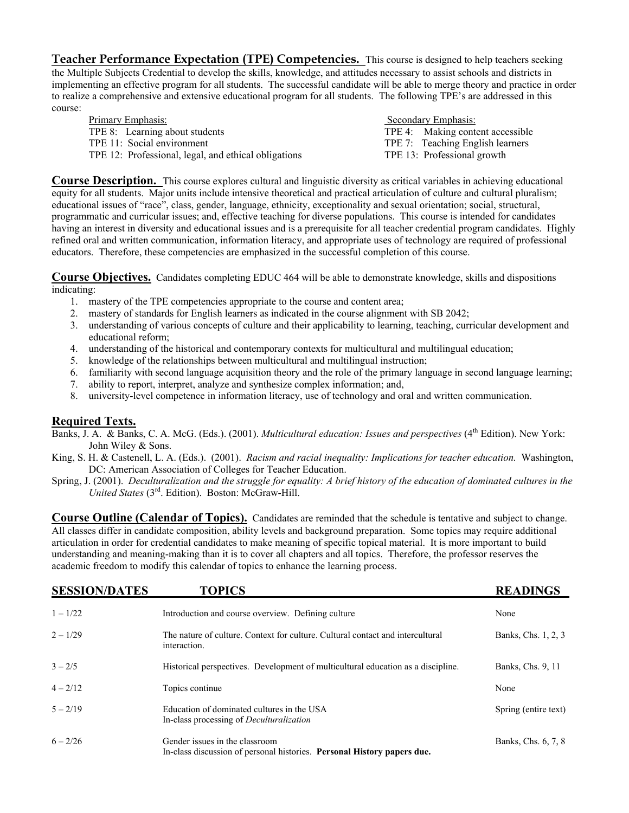**Teacher Performance Expectation (TPE) Competencies.** This course is designed to help teachers seeking the Multiple Subjects Credential to develop the skills, knowledge, and attitudes necessary to assist schools and districts in implementing an effective program for all students. The successful candidate will be able to merge theory and practice in order to realize a comprehensive and extensive educational program for all students. The following TPE's are addressed in this course:

| Primary Emphasis:                                    | Secondary Emphasis:              |
|------------------------------------------------------|----------------------------------|
| TPE 8: Learning about students                       | TPE 4: Making content accessible |
| TPE 11: Social environment                           | TPE 7: Teaching English learners |
| TPE 12: Professional, legal, and ethical obligations | TPE 13: Professional growth      |

**Course Description.** This course explores cultural and linguistic diversity as critical variables in achieving educational equity for all students. Major units include intensive theoretical and practical articulation of culture and cultural pluralism; educational issues of "race", class, gender, language, ethnicity, exceptionality and sexual orientation; social, structural, programmatic and curricular issues; and, effective teaching for diverse populations. This course is intended for candidates having an interest in diversity and educational issues and is a prerequisite for all teacher credential program candidates. Highly refined oral and written communication, information literacy, and appropriate uses of technology are required of professional educators. Therefore, these competencies are emphasized in the successful completion of this course.

**Course Objectives.** Candidates completing EDUC 464 will be able to demonstrate knowledge, skills and dispositions indicating:

- 1. mastery of the TPE competencies appropriate to the course and content area;
- 2. mastery of standards for English learners as indicated in the course alignment with SB 2042;
- 3. understanding of various concepts of culture and their applicability to learning, teaching, curricular development and educational reform;
- 4. understanding of the historical and contemporary contexts for multicultural and multilingual education;
- 5. knowledge of the relationships between multicultural and multilingual instruction;
- 6. familiarity with second language acquisition theory and the role of the primary language in second language learning;
- 7. ability to report, interpret, analyze and synthesize complex information; and,
- 8. university-level competence in information literacy, use of technology and oral and written communication.

## **Required Texts.**

- Banks, J. A. & Banks, C. A. McG. (Eds.). (2001). *Multicultural education: Issues and perspectives* (4<sup>th</sup> Edition). New York: John Wiley & Sons.
- King, S. H. & Castenell, L. A. (Eds.). (2001). *Racism and racial inequality: Implications for teacher education.* Washington, DC: American Association of Colleges for Teacher Education.
- Spring, J. (2001). *Deculturalization and the struggle for equality: A brief history of the education of dominated cultures in the United States* (3rd. Edition). Boston: McGraw-Hill.

**Course Outline (Calendar of Topics).** Candidates are reminded that the schedule is tentative and subject to change. All classes differ in candidate composition, ability levels and background preparation. Some topics may require additional articulation in order for credential candidates to make meaning of specific topical material. It is more important to build understanding and meaning-making than it is to cover all chapters and all topics. Therefore, the professor reserves the academic freedom to modify this calendar of topics to enhance the learning process.

| <b>SESSION/DATES</b> | <b>TOPICS</b>                                                                                             | <b>READINGS</b>      |
|----------------------|-----------------------------------------------------------------------------------------------------------|----------------------|
| $1 - 1/22$           | Introduction and course overview. Defining culture                                                        | None                 |
| $2 - 1/29$           | The nature of culture. Context for culture. Cultural contact and intercultural<br>interaction.            | Banks, Chs. 1, 2, 3  |
| $3 - 2/5$            | Historical perspectives. Development of multicultural education as a discipline.                          | Banks, Chs. 9, 11    |
| $4 - 2/12$           | Topics continue                                                                                           | None                 |
| $5 - 2/19$           | Education of dominated cultures in the USA<br>In-class processing of <i>Deculturalization</i>             | Spring (entire text) |
| $6 - 2/26$           | Gender issues in the classroom<br>In-class discussion of personal histories. Personal History papers due. | Banks, Chs. 6, 7, 8  |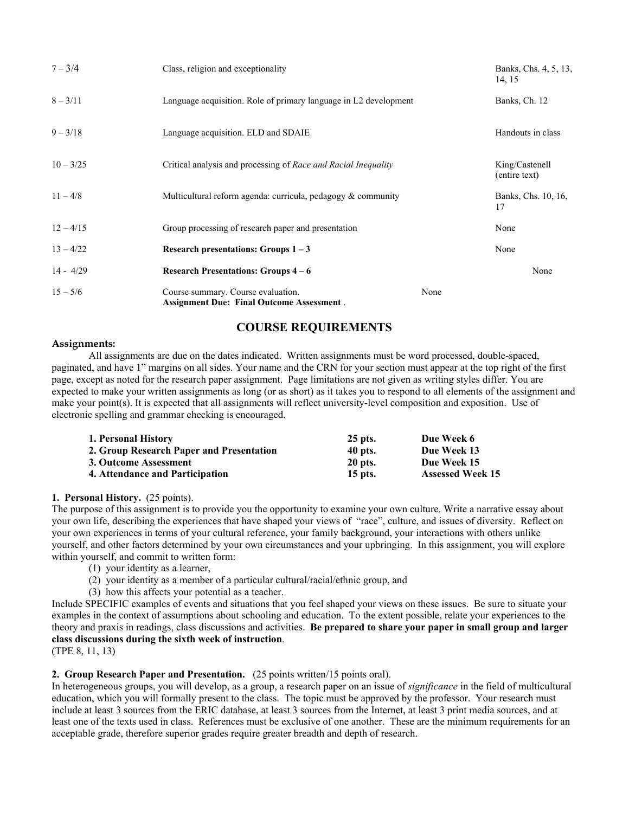| $7 - 3/4$           | Class, religion and exceptionality                                                     |      | Banks, Chs. 4, 5, 13,<br>14, 15 |
|---------------------|----------------------------------------------------------------------------------------|------|---------------------------------|
| $8 - 3/11$          | Language acquisition. Role of primary language in L2 development                       |      | Banks, Ch. 12                   |
| $9 - 3/18$          | Language acquisition. ELD and SDAIE                                                    |      | Handouts in class               |
| $10 - \frac{3}{25}$ | Critical analysis and processing of <i>Race and Racial Inequality</i>                  |      | King/Castenell<br>(entire text) |
| $11 - 4/8$          | Multicultural reform agenda: curricula, pedagogy $\&$ community                        |      | Banks, Chs. 10, 16,<br>17       |
| $12 - 4/15$         | Group processing of research paper and presentation                                    |      | None                            |
| $13 - 4/22$         | Research presentations: Groups $1 - 3$                                                 |      | None                            |
| $14 - 4/29$         | <b>Research Presentations: Groups <math>4-6</math></b>                                 |      | None                            |
| $15 - 5/6$          | Course summary. Course evaluation.<br><b>Assignment Due: Final Outcome Assessment.</b> | None |                                 |

# **COURSE REQUIREMENTS**

#### **Assignments:**

All assignments are due on the dates indicated. Written assignments must be word processed, double-spaced, paginated, and have 1" margins on all sides. Your name and the CRN for your section must appear at the top right of the first page, except as noted for the research paper assignment. Page limitations are not given as writing styles differ. You are expected to make your written assignments as long (or as short) as it takes you to respond to all elements of the assignment and make your point(s). It is expected that all assignments will reflect university-level composition and exposition. Use of electronic spelling and grammar checking is encouraged.

| 1. Personal History                      | 25 pts.   | Due Week 6              |
|------------------------------------------|-----------|-------------------------|
| 2. Group Research Paper and Presentation | 40 pts.   | Due Week 13             |
| 3. Outcome Assessment                    | 20 pts.   | Due Week 15             |
| 4. Attendance and Participation          | $15$ pts. | <b>Assessed Week 15</b> |

#### **1. Personal History.** (25 points).

The purpose of this assignment is to provide you the opportunity to examine your own culture. Write a narrative essay about your own life, describing the experiences that have shaped your views of "race", culture, and issues of diversity. Reflect on your own experiences in terms of your cultural reference, your family background, your interactions with others unlike yourself, and other factors determined by your own circumstances and your upbringing. In this assignment, you will explore within yourself, and commit to written form:

- (1) your identity as a learner,
- (2) your identity as a member of a particular cultural/racial/ethnic group, and
- (3) how this affects your potential as a teacher.

Include SPECIFIC examples of events and situations that you feel shaped your views on these issues. Be sure to situate your examples in the context of assumptions about schooling and education. To the extent possible, relate your experiences to the theory and praxis in readings, class discussions and activities. **Be prepared to share your paper in small group and larger class discussions during the sixth week of instruction**.

(TPE 8, 11, 13)

#### **2. Group Research Paper and Presentation.** (25 points written/15 points oral).

In heterogeneous groups, you will develop, as a group, a research paper on an issue of *significance* in the field of multicultural education, which you will formally present to the class. The topic must be approved by the professor. Your research must include at least 3 sources from the ERIC database, at least 3 sources from the Internet, at least 3 print media sources, and at least one of the texts used in class. References must be exclusive of one another. These are the minimum requirements for an acceptable grade, therefore superior grades require greater breadth and depth of research.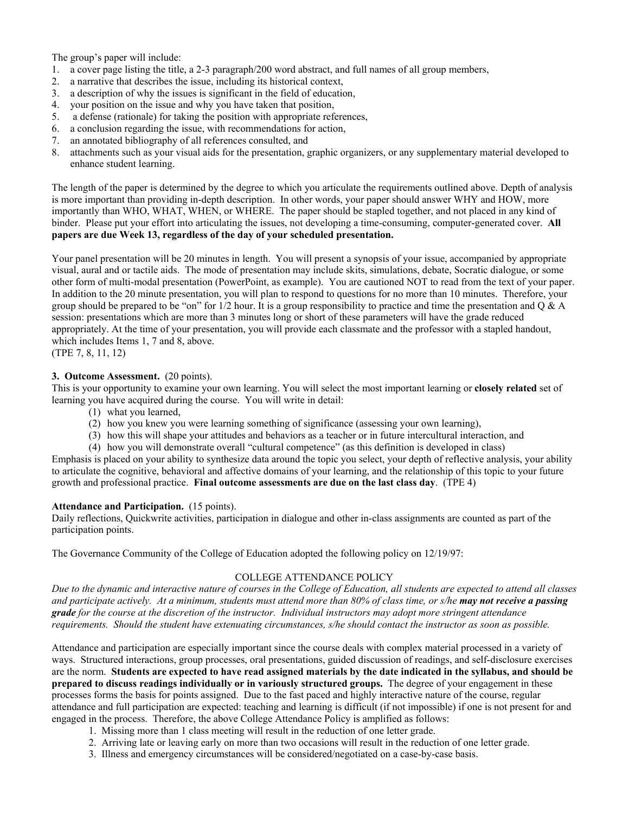The group's paper will include:

- 1. a cover page listing the title, a 2-3 paragraph/200 word abstract, and full names of all group members,
- 2. a narrative that describes the issue, including its historical context,
- 3. a description of why the issues is significant in the field of education,
- 4. your position on the issue and why you have taken that position,
- 5. a defense (rationale) for taking the position with appropriate references,
- 6. a conclusion regarding the issue, with recommendations for action,
- 7. an annotated bibliography of all references consulted, and
- 8. attachments such as your visual aids for the presentation, graphic organizers, or any supplementary material developed to enhance student learning.

The length of the paper is determined by the degree to which you articulate the requirements outlined above. Depth of analysis is more important than providing in-depth description. In other words, your paper should answer WHY and HOW, more importantly than WHO, WHAT, WHEN, or WHERE. The paper should be stapled together, and not placed in any kind of binder. Please put your effort into articulating the issues, not developing a time-consuming, computer-generated cover. **All papers are due Week 13, regardless of the day of your scheduled presentation.**

Your panel presentation will be 20 minutes in length. You will present a synopsis of your issue, accompanied by appropriate visual, aural and or tactile aids. The mode of presentation may include skits, simulations, debate, Socratic dialogue, or some other form of multi-modal presentation (PowerPoint, as example). You are cautioned NOT to read from the text of your paper. In addition to the 20 minute presentation, you will plan to respond to questions for no more than 10 minutes. Therefore, your group should be prepared to be "on" for  $1/2$  hour. It is a group responsibility to practice and time the presentation and Q & A session: presentations which are more than 3 minutes long or short of these parameters will have the grade reduced appropriately. At the time of your presentation, you will provide each classmate and the professor with a stapled handout, which includes Items 1, 7 and 8, above.

(TPE 7, 8, 11, 12)

## **3. Outcome Assessment.** (20 points).

This is your opportunity to examine your own learning. You will select the most important learning or **closely related** set of learning you have acquired during the course. You will write in detail:

- (1) what you learned,
- (2) how you knew you were learning something of significance (assessing your own learning),
- (3) how this will shape your attitudes and behaviors as a teacher or in future intercultural interaction, and
- (4) how you will demonstrate overall "cultural competence" (as this definition is developed in class)

Emphasis is placed on your ability to synthesize data around the topic you select, your depth of reflective analysis, your ability to articulate the cognitive, behavioral and affective domains of your learning, and the relationship of this topic to your future growth and professional practice. **Final outcome assessments are due on the last class day**. (TPE 4)

#### **Attendance and Participation.** (15 points).

Daily reflections, Quickwrite activities, participation in dialogue and other in-class assignments are counted as part of the participation points.

The Governance Community of the College of Education adopted the following policy on 12/19/97:

## COLLEGE ATTENDANCE POLICY

*Due to the dynamic and interactive nature of courses in the College of Education, all students are expected to attend all classes and participate actively. At a minimum, students must attend more than 80% of class time, or s/he may not receive a passing grade for the course at the discretion of the instructor. Individual instructors may adopt more stringent attendance requirements. Should the student have extenuating circumstances, s/he should contact the instructor as soon as possible.* 

Attendance and participation are especially important since the course deals with complex material processed in a variety of ways. Structured interactions, group processes, oral presentations, guided discussion of readings, and self-disclosure exercises are the norm. **Students are expected to have read assigned materials by the date indicated in the syllabus, and should be prepared to discuss readings individually or in variously structured groups.** The degree of your engagement in these processes forms the basis for points assigned. Due to the fast paced and highly interactive nature of the course, regular attendance and full participation are expected: teaching and learning is difficult (if not impossible) if one is not present for and engaged in the process. Therefore, the above College Attendance Policy is amplified as follows:

- 1. Missing more than 1 class meeting will result in the reduction of one letter grade.
- 2. Arriving late or leaving early on more than two occasions will result in the reduction of one letter grade.
- 3. Illness and emergency circumstances will be considered/negotiated on a case-by-case basis.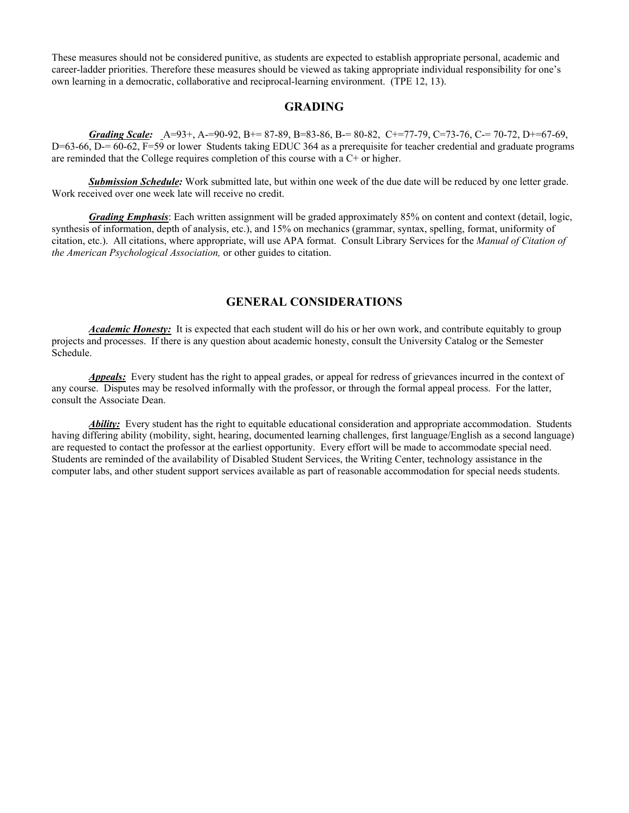These measures should not be considered punitive, as students are expected to establish appropriate personal, academic and career-ladder priorities. Therefore these measures should be viewed as taking appropriate individual responsibility for one's own learning in a democratic, collaborative and reciprocal-learning environment. (TPE 12, 13).

## **GRADING**

*Grading Scale:* A=93+, A-=90-92, B+= 87-89, B=83-86, B-= 80-82, C+=77-79, C=73-76, C-= 70-72, D+=67-69, D=63-66, D-= 60-62, F=59 or lower Students taking EDUC 364 as a prerequisite for teacher credential and graduate programs are reminded that the College requires completion of this course with a C+ or higher.

 *Submission Schedule:* Work submitted late, but within one week of the due date will be reduced by one letter grade. Work received over one week late will receive no credit.

*Grading Emphasis*: Each written assignment will be graded approximately 85% on content and context (detail, logic, synthesis of information, depth of analysis, etc.), and 15% on mechanics (grammar, syntax, spelling, format, uniformity of citation, etc.). All citations, where appropriate, will use APA format. Consult Library Services for the *Manual of Citation of the American Psychological Association,* or other guides to citation.

## **GENERAL CONSIDERATIONS**

*Academic Honesty:* It is expected that each student will do his or her own work, and contribute equitably to group projects and processes. If there is any question about academic honesty, consult the University Catalog or the Semester Schedule.

*Appeals:* Every student has the right to appeal grades, or appeal for redress of grievances incurred in the context of any course. Disputes may be resolved informally with the professor, or through the formal appeal process. For the latter, consult the Associate Dean.

*Ability:* Every student has the right to equitable educational consideration and appropriate accommodation. Students having differing ability (mobility, sight, hearing, documented learning challenges, first language/English as a second language) are requested to contact the professor at the earliest opportunity. Every effort will be made to accommodate special need. Students are reminded of the availability of Disabled Student Services, the Writing Center, technology assistance in the computer labs, and other student support services available as part of reasonable accommodation for special needs students.